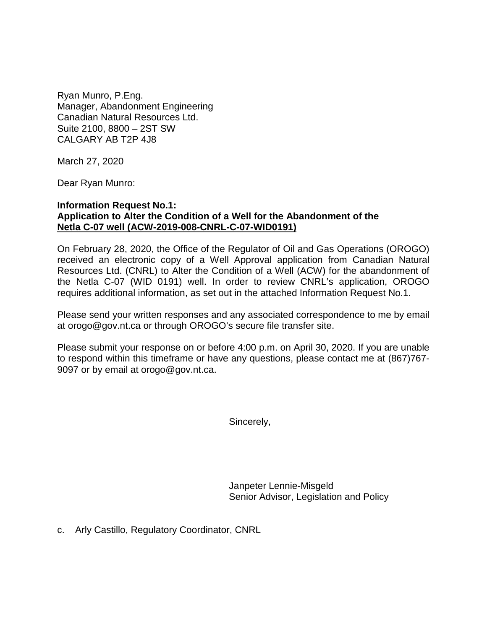Ryan Munro, P.Eng. Manager, Abandonment Engineering Canadian Natural Resources Ltd. Suite 2100, 8800 – 2ST SW CALGARY AB T2P 4J8

March 27, 2020

Dear Ryan Munro:

## **Information Request No.1: Application to Alter the Condition of a Well for the Abandonment of the Netla C-07 well (ACW-2019-008-CNRL-C-07-WID0191)**

On February 28, 2020, the Office of the Regulator of Oil and Gas Operations (OROGO) received an electronic copy of a Well Approval application from Canadian Natural Resources Ltd. (CNRL) to Alter the Condition of a Well (ACW) for the abandonment of the Netla C-07 (WID 0191) well. In order to review CNRL's application, OROGO requires additional information, as set out in the attached Information Request No.1.

Please send your written responses and any associated correspondence to me by email at orogo@gov.nt.ca or through OROGO's secure file transfer site.

Please submit your response on or before 4:00 p.m. on April 30, 2020. If you are unable to respond within this timeframe or have any questions, please contact me at (867)767- 9097 or by email at orogo@gov.nt.ca.

Sincerely,

Janpeter Lennie-Misgeld Senior Advisor, Legislation and Policy

c. Arly Castillo, Regulatory Coordinator, CNRL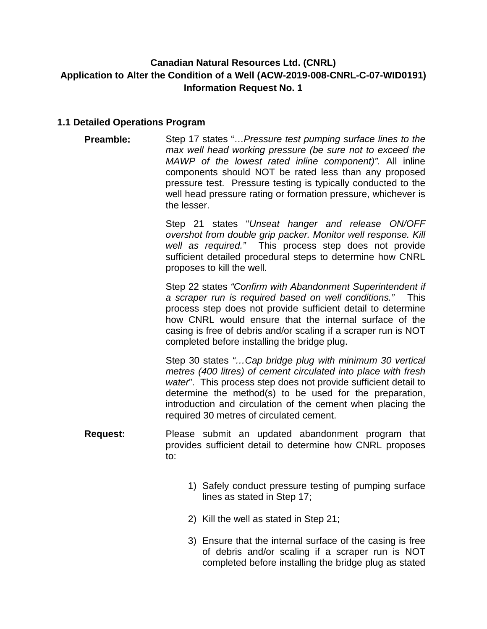## **Canadian Natural Resources Ltd. (CNRL) Application to Alter the Condition of a Well (ACW-2019-008-CNRL-C-07-WID0191) Information Request No. 1**

## **1.1 Detailed Operations Program**

**Preamble:** Step 17 states "…*Pressure test pumping surface lines to the max well head working pressure (be sure not to exceed the MAWP of the lowest rated inline component)".* All inline components should NOT be rated less than any proposed pressure test. Pressure testing is typically conducted to the well head pressure rating or formation pressure, whichever is the lesser.

> Step 21 states "*Unseat hanger and release ON/OFF overshot from double grip packer. Monitor well response. Kill well as required."* This process step does not provide sufficient detailed procedural steps to determine how CNRL proposes to kill the well.

> Step 22 states *"Confirm with Abandonment Superintendent if a scraper run is required based on well conditions."* This process step does not provide sufficient detail to determine how CNRL would ensure that the internal surface of the casing is free of debris and/or scaling if a scraper run is NOT completed before installing the bridge plug.

> Step 30 states *"…Cap bridge plug with minimum 30 vertical metres (400 litres) of cement circulated into place with fresh water*". This process step does not provide sufficient detail to determine the method(s) to be used for the preparation, introduction and circulation of the cement when placing the required 30 metres of circulated cement.

- **Request:** Please submit an updated abandonment program that provides sufficient detail to determine how CNRL proposes to:
	- 1) Safely conduct pressure testing of pumping surface lines as stated in Step 17;
	- 2) Kill the well as stated in Step 21;
	- 3) Ensure that the internal surface of the casing is free of debris and/or scaling if a scraper run is NOT completed before installing the bridge plug as stated